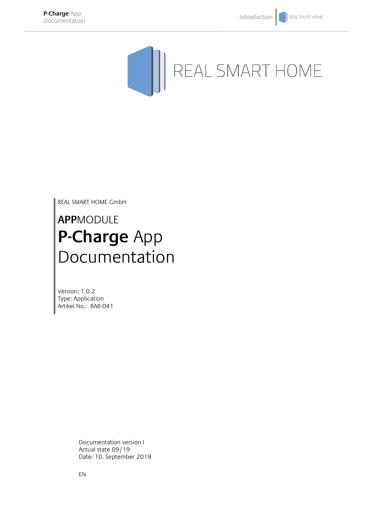

REAL SMART HOME GmbH

# **APP**MODULE **P-Charge** App Documentation

Version: 1.0.2 Type: Application Artikel No.: BAB-041

> Documentation version I Actual state 09/19 Date: 10. September 2019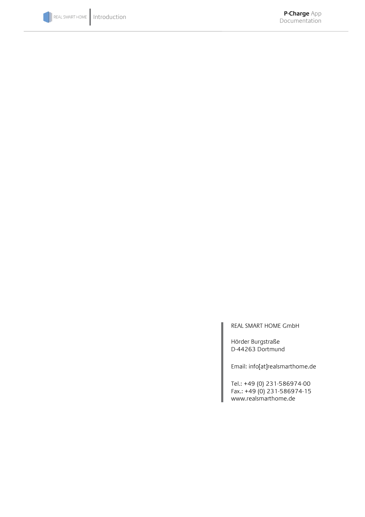

REAL SMART HOME GmbH

Hörder Burgstraße D-44263 Dortmund

Email: info[at]realsmarthome.de

Tel.: +49 (0) 231-586974-00 Fax.: +49 (0) 231-586974-15 www.realsmarthome.de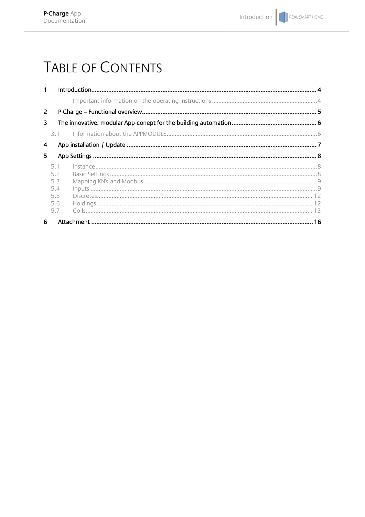# **TABLE OF CONTENTS**

| $\mathbf{1}$ |                                               |  |  |  |  |  |  |  |  |
|--------------|-----------------------------------------------|--|--|--|--|--|--|--|--|
|              |                                               |  |  |  |  |  |  |  |  |
| 2            |                                               |  |  |  |  |  |  |  |  |
| 3            |                                               |  |  |  |  |  |  |  |  |
|              | 3.1                                           |  |  |  |  |  |  |  |  |
| 4            |                                               |  |  |  |  |  |  |  |  |
| 5.           |                                               |  |  |  |  |  |  |  |  |
|              | 5.1<br>5.2<br>5.3<br>5.4<br>5.5<br>5.6<br>5.7 |  |  |  |  |  |  |  |  |
| 6            |                                               |  |  |  |  |  |  |  |  |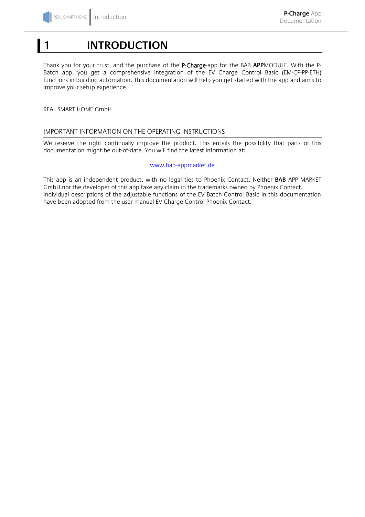## <span id="page-3-0"></span>**1 INTRODUCTION**

Thank you for your trust, and the purchase of the P-Charge-app for the BAB **APP**MODULE. With the P-Batch app, you get a comprehensive integration of the EV Charge Control Basic (EM-CP-PP-ETH) functions in building automation. This documentation will help you get started with the app and aims to improve your setup experience.

REAL SMART HOME GmbH

#### <span id="page-3-1"></span>IMPORTANT INFORMATION ON THE OPERATING INSTRUCTIONS

We reserve the right continually improve the product. This entails the possibility that parts of this documentation might be out-of-date. You will find the latest information at:

#### [www.bab-appmarket.de](http://www.bab-appmarket.de/)

This app is an independent product, with no legal ties to Phoenix Contact. Neither **BAB** APP MARKET GmbH nor the developer of this app take any claim in the trademarks owned by Phoenix Contact. Individual descriptions of the adjustable functions of the EV Batch Control Basic in this documentation have been adopted from the user manual EV Charge Control Phoenix Contact.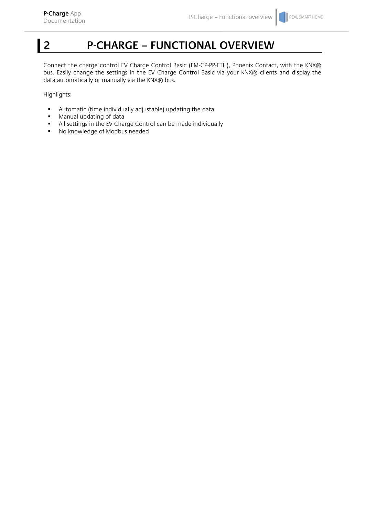## <span id="page-4-0"></span>**2 P-CHARGE – FUNCTIONAL OVERVIEW**

Connect the charge control EV Charge Control Basic (EM-CP-PP-ETH), Phoenix Contact, with the KNX® bus. Easily change the settings in the EV Charge Control Basic via your KNX® clients and display the data automatically or manually via the KNX® bus.

Highlights:

- Automatic (time individually adjustable) updating the data
- **Manual updating of data**
- All settings in the EV Charge Control can be made individually<br>• No knowledge of Modbus needed
- No knowledge of Modbus needed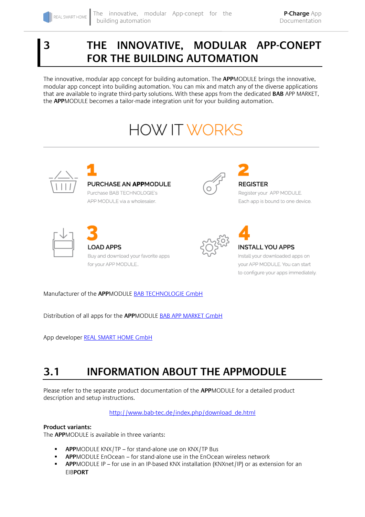### <span id="page-5-0"></span>**3 THE INNOVATIVE, MODULAR APP-CONEPT FOR THE BUILDING AUTOMATION**

The innovative, modular app concept for building automation. The **APP**MODULE brings the innovative, modular app concept into building automation. You can mix and match any of the diverse applications that are available to ingrate third-party solutions. With these apps from the dedicated **BAB** APP MARKET, the **APP**MODULE becomes a tailor-made integration unit for your building automation.

# **HOW IT WORKS**



Manufacturer of the **APP**MODULE BAB [TECHNOLOGIE GmbH](http://bab-tec.de/)

Distribution of all apps for the **APP**MODULE [BAB APP MARKET GmbH](https://www.bab-appmarket.de/de/)

App developer [REAL SMART HOME GmbH](http://www.realsmarthome.de/)

## <span id="page-5-1"></span>**3.1 INFORMATION ABOUT THE APPMODULE**

Please refer to the separate product documentation of the **APP**MODULE for a detailed product description and setup instructions.

[http://www.bab-tec.de/index.php/download\\_de.html](http://www.bab-tec.de/index.php/download_de.html)

#### **Product variants:**

The **APP**MODULE is available in three variants:

- **APP**MODULE KNX/TP for stand-alone use on KNX/TP Bus
- **APP**MODULE EnOcean for stand-alone use in the EnOcean wireless network
- **APP**MODULE IP for use in an IP-based KNX installation (KNXnet/IP) or as extension for an EIB**PORT**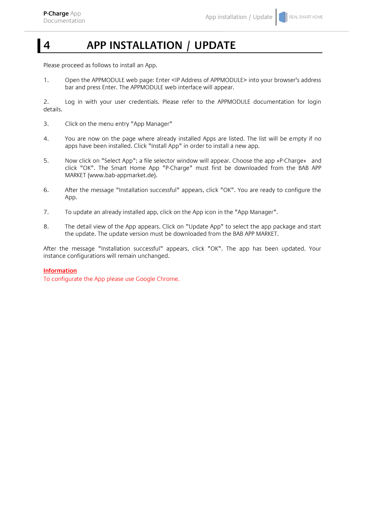## <span id="page-6-0"></span>**4 APP INSTALLATION / UPDATE**

Please proceed as follows to install an App.

1. Open the APPMODULE web page: Enter <IP Address of APPMODULE> into your browser's address bar and press Enter. The APPMODULE web interface will appear.

2. Log in with your user credentials. Please refer to the APPMODULE documentation for login details.

- 3. Click on the menu entry "App Manager"
- 4. You are now on the page where already installed Apps are listed. The list will be empty if no apps have been installed. Click "Install App" in order to install a new app.
- 5. Now click on "Select App"; a file selector window will appear. Choose the app »P-Charge« and click "OK". The Smart Home App "P-Charge" must first be downloaded from the BAB APP MARKET (www.bab-appmarket.de).
- 6. After the message "Installation successful" appears, click "OK". You are ready to configure the App.
- 7. To update an already installed app, click on the App icon in the "App Manager".
- 8. The detail view of the App appears. Click on "Update App" to select the app package and start the update. The update version must be downloaded from the BAB APP MARKET.

After the message "Installation successful" appears, click "OK". The app has been updated. Your instance configurations will remain unchanged.

#### **Information**

To configurate the App please use Google Chrome.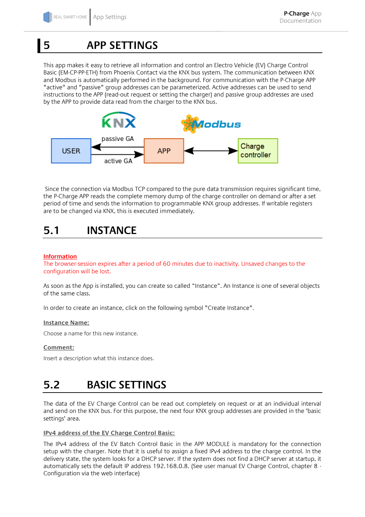## <span id="page-7-0"></span>**5 APP SETTINGS**

This app makes it easy to retrieve all information and control an Electro Vehicle (EV) Charge Control Basic (EM-CP-PP-ETH) from Phoenix Contact via the KNX bus system. The communication between KNX and Modbus is automatically performed in the background. For communication with the P-Charge APP "active" and "passive" group addresses can be parameterized. Active addresses can be used to send instructions to the APP (read-out request or setting the charger) and passive group addresses are used by the APP to provide data read from the charger to the KNX bus.



Since the connection via Modbus TCP compared to the pure data transmission requires significant time, the P-Charge APP reads the complete memory dump of the charge controller on demand or after a set period of time and sends the information to programmable KNX group addresses. If writable registers are to be changed via KNX, this is executed immediately.

### <span id="page-7-1"></span>**5.1 INSTANCE**

#### **Information**

The browser-session expires after a period of 60 minutes due to inactivity. Unsaved changes to the configuration will be lost.

As soon as the App is installed, you can create so called "Instance". An Instance is one of several objects of the same class.

In order to create an instance, click on the following symbol "Create Instance".

#### **Instance Name:**

Choose a name for this new instance.

#### **Comment:**

Insert a description what this instance does.

### <span id="page-7-2"></span>**5.2 BASIC SETTINGS**

The data of the EV Charge Control can be read out completely on request or at an individual interval and send on the KNX bus. For this purpose, the next four KNX group addresses are provided in the 'basic settings' area.

#### **IPv4 address of the EV Charge Control Basic:**

The IPv4 address of the EV Batch Control Basic in the APP MODULE is mandatory for the connection setup with the charger. Note that it is useful to assign a fixed IPv4 address to the charge control. In the delivery state, the system looks for a DHCP server. If the system does not find a DHCP server at startup, it automatically sets the default IP address 192.168.0.8. (See user manual EV Charge Control, chapter 8 - Configuration via the web interface)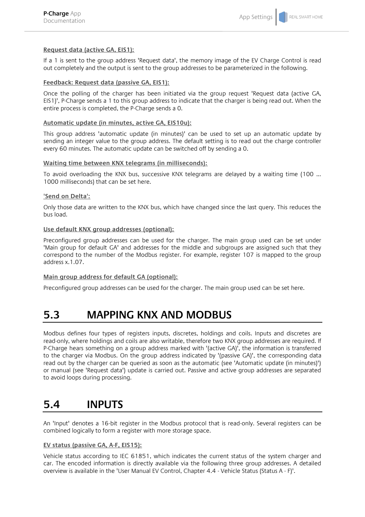#### **Request data (active GA, EIS1):**

If a 1 is sent to the group address 'Request data', the memory image of the EV Charge Control is read out completely and the output is sent to the group addresses to be parameterized in the following.

#### **Feedback: Request data (passive GA, EIS1):**

Once the polling of the charger has been initiated via the group request 'Request data (active GA, EIS1)', P-Charge sends a 1 to this group address to indicate that the charger is being read out. When the entire process is completed, the P-Charge sends a 0.

#### **Automatic update (in minutes, active GA, EIS10u):**

This group address 'automatic update (in minutes)' can be used to set up an automatic update by sending an integer value to the group address. The default setting is to read out the charge controller every 60 minutes. The automatic update can be switched off by sending a 0.

#### **Waiting time between KNX telegrams (in milliseconds):**

To avoid overloading the KNX bus, successive KNX telegrams are delayed by a waiting time (100 ... 1000 milliseconds) that can be set here.

#### **'Send on Delta':**

Only those data are written to the KNX bus, which have changed since the last query. This reduces the bus load.

#### **Use default KNX group addresses (optional):**

Preconfigured group addresses can be used for the charger. The main group used can be set under 'Main group for default GA' and addresses for the middle and subgroups are assigned such that they correspond to the number of the Modbus register. For example, register 107 is mapped to the group address x.1.07.

#### **Main group address for default GA (optional):**

Preconfigured group addresses can be used for the charger. The main group used can be set here.

### <span id="page-8-0"></span>**5.3 MAPPING KNX AND MODBUS**

Modbus defines four types of registers inputs, discretes, holdings and coils. Inputs and discretes are read-only, where holdings and coils are also writable, therefore two KNX group addresses are required. If P-Charge hears something on a group address marked with '(active GA)', the information is transferred to the charger via Modbus. On the group address indicated by '(passive GA)', the corresponding data read out by the charger can be queried as soon as the automatic (see 'Automatic update (in minutes)') or manual (see 'Request data') update is carried out. Passive and active group addresses are separated to avoid loops during processing.

### <span id="page-8-1"></span>**5.4 INPUTS**

An 'Input' denotes a 16-bit register in the Modbus protocol that is read-only. Several registers can be combined logically to form a register with more storage space.

#### **EV status (passive GA, A-F, EIS15):**

Vehicle status according to IEC 61851, which indicates the current status of the system charger and car. The encoded information is directly available via the following three group addresses. A detailed overview is available in the 'User Manual EV Control, Chapter 4.4 - Vehicle Status (Status A - F)'.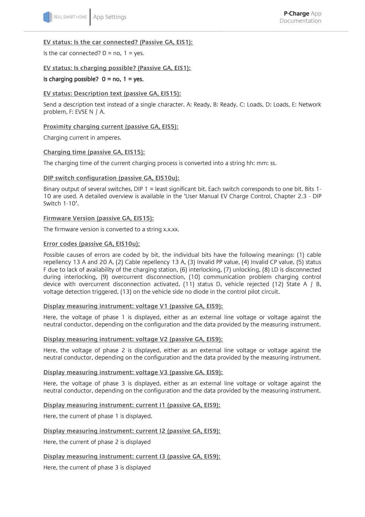#### **EV status: Is the car connected? (Passive GA, EIS1):**

Is the car connected?  $0 = no$ ,  $1 = yes$ .

#### **EV status: Is charging possible? (Passive GA, EIS1):**

#### Is charging possible?  $0 = no$ ,  $1 = yes$ .

#### **EV status: Description text (passive GA, EIS15):**

Send a description text instead of a single character. A: Ready, B: Ready, C: Loads, D: Loads, E: Network problem, F: EVSE N / A.

#### **Proximity charging current (passive GA, EIS5):**

Charging current in amperes.

#### **Charging time (passive GA, EIS15):**

The charging time of the current charging process is converted into a string hh: mm: ss.

#### **DIP switch configuration (passive GA, EIS10u):**

Binary output of several switches, DIP 1 = least significant bit. Each switch corresponds to one bit. Bits 1- 10 are used. A detailed overview is available in the 'User Manual EV Charge Control, Chapter 2.3 - DIP Switch 1-10'.

#### **Firmware Version (passive GA, EIS15):**

The firmware version is converted to a string x.x.xx.

#### **Error codes (passive GA, EIS10u):**

Possible causes of errors are coded by bit, the individual bits have the following meanings: (1) cable repellency 13 A and 20 A, (2) Cable repellency 13 A, (3) Invalid PP value, (4) Invalid CP value, (5) status F due to lack of availability of the charging station, (6) interlocking, (7) unlocking, (8) LD is disconnected during interlocking, (9) overcurrent disconnection, (10) communication problem charging control device with overcurrent disconnection activated, (11) status D, vehicle rejected (12) State A / B, voltage detection triggered, (13) on the vehicle side no diode in the control pilot circuit.

#### **Display measuring instrument: voltage V1 (passive GA, EIS9):**

Here, the voltage of phase 1 is displayed, either as an external line voltage or voltage against the neutral conductor, depending on the configuration and the data provided by the measuring instrument.

#### **Display measuring instrument: voltage V2 (passive GA, EIS9):**

Here, the voltage of phase 2 is displayed, either as an external line voltage or voltage against the neutral conductor, depending on the configuration and the data provided by the measuring instrument.

#### **Display measuring instrument: voltage V3 (passive GA, EIS9):**

Here, the voltage of phase 3 is displayed, either as an external line voltage or voltage against the neutral conductor, depending on the configuration and the data provided by the measuring instrument.

**Display measuring instrument: current I1 (passive GA, EIS9):**

Here, the current of phase 1 is displayed.

#### **Display measuring instrument: current I2 (passive GA, EIS9):**

Here, the current of phase 2 is displayed

#### **Display measuring instrument: current I3 (passive GA, EIS9):**

Here, the current of phase 3 is displayed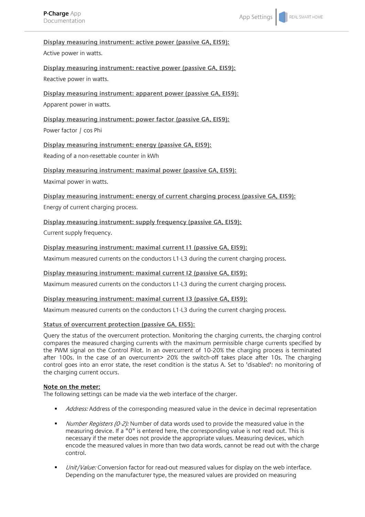#### **Display measuring instrument: active power (passive GA, EIS9):**

#### Active power in watts.

**Display measuring instrument: reactive power (passive GA, EIS9):** Reactive power in watts.

**Display measuring instrument: apparent power (passive GA, EIS9):** Apparent power in watts.

**Display measuring instrument: power factor (passive GA, EIS9):** Power factor / cos Phi

**Display measuring instrument: energy (passive GA, EIS9):** Reading of a non-resettable counter in kWh

#### **Display measuring instrument: maximal power (passive GA, EIS9):**

Maximal power in watts.

**Display measuring instrument: energy of current charging process (passive GA, EIS9):**

Energy of current charging process.

#### **Display measuring instrument: supply frequency (passive GA, EIS9):**

Current supply frequency.

#### **Display measuring instrument: maximal current I1 (passive GA, EIS9):**

Maximum measured currents on the conductors L1-L3 during the current charging process.

#### **Display measuring instrument: maximal current I2 (passive GA, EIS9):**

Maximum measured currents on the conductors L1-L3 during the current charging process.

#### **Display measuring instrument: maximal current I3 (passive GA, EIS9):**

Maximum measured currents on the conductors L1-L3 during the current charging process.

#### **Status of overcurrent protection (passive GA, EIS5):**

Query the status of the overcurrent protection. Monitoring the charging currents, the charging control compares the measured charging currents with the maximum permissible charge currents specified by the PWM signal on the Control Pilot. In an overcurrent of 10-20% the charging process is terminated after 100s. In the case of an overcurrent> 20% the switch-off takes place after 10s. The charging control goes into an error state, the reset condition is the status A. Set to 'disabled': no monitoring of the charging current occurs.

#### **Note on the meter:**

The following settings can be made via the web interface of the charger.

- Address: Address of the corresponding measured value in the device in decimal representation
- Number Registers (0-2): Number of data words used to provide the measured value in the measuring device. If a "0" is entered here, the corresponding value is not read out. This is necessary if the meter does not provide the appropriate values. Measuring devices, which encode the measured values in more than two data words, cannot be read out with the charge control.
- Unit/Value: Conversion factor for read-out measured values for display on the web interface. Depending on the manufacturer type, the measured values are provided on measuring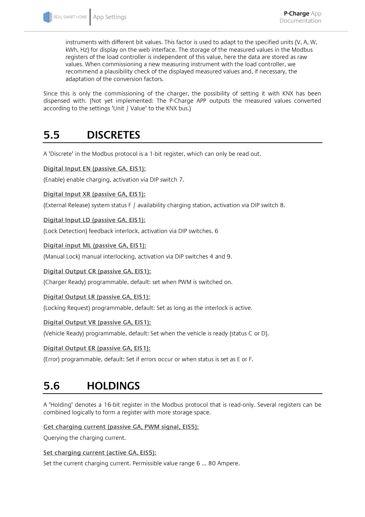instruments with different bit values. This factor is used to adapt to the specified units (V, A, W, kWh, Hz) for display on the web interface. The storage of the measured values in the Modbus registers of the load controller is independent of this value, here the data are stored as raw values. When commissioning a new measuring instrument with the load controller, we recommend a plausibility check of the displayed measured values and, if necessary, the adaptation of the conversion factors.

Since this is only the commissioning of the charger, the possibility of setting it with KNX has been dispensed with. (Not yet implemented: The P-Charge APP outputs the measured values converted according to the settings 'Unit / Value' to the KNX bus.)

### <span id="page-11-0"></span>**5.5 DISCRETES**

A 'Discrete' in the Modbus protocol is a 1-bit register, which can only be read out.

**Digital Input EN (passive GA, EIS1):**

(Enable) enable charging, activation via DIP switch 7.

**Digital Input XR (passive GA, EIS1):**

(External Release) system status F / availability charging station, activation via DIP switch 8.

**Digital Input LD (passive GA, EIS1):**

(Lock Detection) feedback interlock, activation via DIP switches. 6

**Digital input ML (passive GA, EIS1):**

(Manual Lock) manual interlocking, activation via DIP switches 4 and 9.

**Digital Output CR (passive GA, EIS1):**

(Charger Ready) programmable, default: set when PWM is switched on.

**Digital Output LR (passive GA, EIS1):**

(Locking Request) programmable, default: Set as long as the interlock is active.

#### **Digital Output VR (passive GA, EIS1):**

(Vehicle Ready) programmable, default: Set when the vehicle is ready (status C or D).

#### **Digital Output ER (passive GA, EIS1):**

(Error) programmable, default: Set if errors occur or when status is set as E or F.

### <span id="page-11-1"></span>**5.6 HOLDINGS**

A 'Holding' denotes a 16-bit register in the Modbus protocol that is read-only. Several registers can be combined logically to form a register with more storage space.

**Get charging current (passive GA, PWM signal, EIS5):**

Querying the charging current.

**Set charging current (active GA, EIS5):**

Set the current charging current. Permissible value range 6 ... 80 Ampere.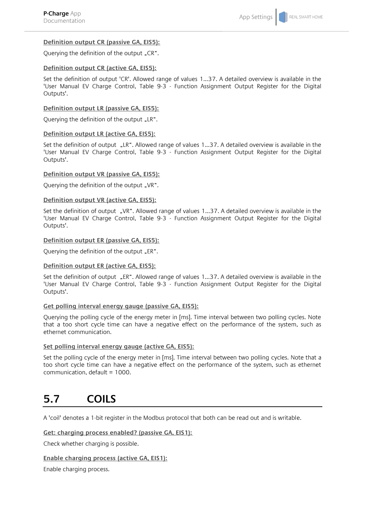#### **Definition output CR (passive GA, EIS5):**

Querying the definition of the output "CR".

#### **Definition output CR (active GA, EIS5):**

Set the definition of output 'CR'. Allowed range of values 1...37. A detailed overview is available in the 'User Manual EV Charge Control, Table 9-3 - Function Assignment Output Register for the Digital Outputs'.

#### **Definition output LR (passive GA, EIS5):**

Querying the definition of the output "LR".

#### **Definition output LR (active GA, EIS5):**

Set the definition of output "LR". Allowed range of values 1...37. A detailed overview is available in the 'User Manual EV Charge Control, Table 9-3 - Function Assignment Output Register for the Digital Outputs'.

#### **Definition output VR (passive GA, EIS5):**

Ouerying the definition of the output "VR".

#### **Definition output VR (active GA, EIS5):**

Set the definition of output "VR". Allowed range of values 1...37. A detailed overview is available in the 'User Manual EV Charge Control, Table 9-3 - Function Assignment Output Register for the Digital Outputs'.

#### **Definition output ER (passive GA, EIS5):**

Querying the definition of the output "ER".

#### **Definition output ER (active GA, EIS5):**

Set the definition of output "ER". Allowed range of values 1...37. A detailed overview is available in the 'User Manual EV Charge Control, Table 9-3 - Function Assignment Output Register for the Digital Outputs'.

#### **Get polling interval energy gauge (passive GA, EIS5):**

Querying the polling cycle of the energy meter in [ms]. Time interval between two polling cycles. Note that a too short cycle time can have a negative effect on the performance of the system, such as ethernet communication.

#### **Set polling interval energy gauge (active GA, EIS5):**

Set the polling cycle of the energy meter in [ms]. Time interval between two polling cycles. Note that a too short cycle time can have a negative effect on the performance of the system, such as ethernet communication, default = 1000.

### <span id="page-12-0"></span>**5.7 COILS**

A 'coil' denotes a 1-bit register in the Modbus protocol that both can be read out and is writable.

#### **Get: charging process enabled? (passive GA, EIS1):**

Check whether charging is possible.

#### **Enable charging process (active GA, EIS1):**

Enable charging process.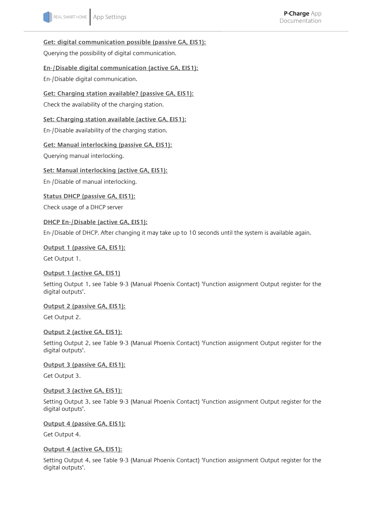**Get: digital communication possible (passive GA, EIS1):**

Querying the possibility of digital communication.

#### **En-/Disable digital communication (active GA, EIS1):**

En-/Disable digital communication.

**Get: Charging station available? (passive GA, EIS1):**

Check the availability of the charging station.

**Set: Charging station available (active GA, EIS1):** En-/Disable availability of the charging station.

**Get: Manual interlocking (passive GA, EIS1):**

Querying manual interlocking.

**Set: Manual interlocking (active GA, EIS1):**

En-/Disable of manual interlocking.

**Status DHCP (passive GA, EIS1):**

Check usage of a DHCP server

#### **DHCP En-/Disable (active GA, EIS1):**

En-/Disable of DHCP. After changing it may take up to 10 seconds until the system is available again.

**Output 1 (passive GA, EIS1):**

Get Output 1.

#### **Output 1 (active GA, EIS1)**

Setting Output 1, see Table 9-3 (Manual Phoenix Contact) 'Function assignment Output register for the digital outputs'.

**Output 2 (passive GA, EIS1):**

Get Output 2.

#### **Output 2 (active GA, EIS1):**

Setting Output 2, see Table 9-3 (Manual Phoenix Contact) 'Function assignment Output register for the digital outputs'.

**Output 3 (passive GA, EIS1):**

Get Output 3.

#### **Output 3 (active GA, EIS1):**

Setting Output 3, see Table 9-3 (Manual Phoenix Contact) 'Function assignment Output register for the digital outputs'.

**Output 4 (passive GA, EIS1):**

Get Output 4.

#### **Output 4 (active GA, EIS1):**

Setting Output 4, see Table 9-3 (Manual Phoenix Contact) 'Function assignment Output register for the digital outputs'.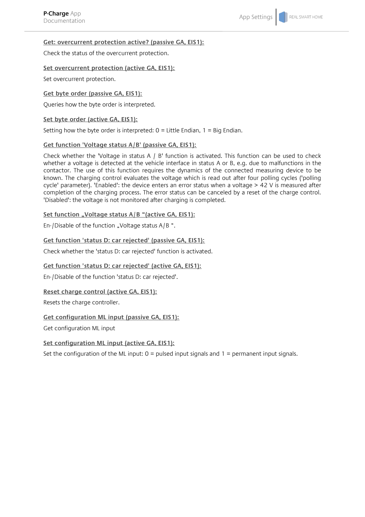#### **Get: overcurrent protection active? (passive GA, EIS1):**

Check the status of the overcurrent protection.

#### **Set overcurrent protection (active GA, EIS1):**

Set overcurrent protection.

#### **Get byte order (passive GA, EIS1):**

Queries how the byte order is interpreted.

#### **Set byte order (active GA, EIS1):**

Setting how the byte order is interpreted:  $0 =$  Little Endian,  $1 =$  Big Endian.

#### **Get function 'Voltage status A/B' (passive GA, EIS1):**

Check whether the 'Voltage in status A / B' function is activated. This function can be used to check whether a voltage is detected at the vehicle interface in status A or B, e.g. due to malfunctions in the contactor. The use of this function requires the dynamics of the connected measuring device to be known. The charging control evaluates the voltage which is read out after four polling cycles ('polling cycle' parameter). 'Enabled': the device enters an error status when a voltage > 42 V is measured after completion of the charging process. The error status can be canceled by a reset of the charge control. 'Disabled': the voltage is not monitored after charging is completed.

#### Set function "Voltage status A/B "(active GA, EIS1):

En-/Disable of the function "Voltage status  $A/B$ ".

#### **Get function 'status D: car rejected' (passive GA, EIS1):**

Check whether the 'status D: car rejected' function is activated.

#### **Get function 'status D: car rejected' (active GA, EIS1):**

En-/Disable of the function 'status D: car rejected'.

#### **Reset charge control (active GA, EIS1):**

Resets the charge controller.

#### **Get configuration ML input (passive GA, EIS1):**

Get configuration ML input

#### **Set configuration ML input (active GA, EIS1):**

Set the configuration of the ML input:  $0 =$  pulsed input signals and  $1 =$  permanent input signals.